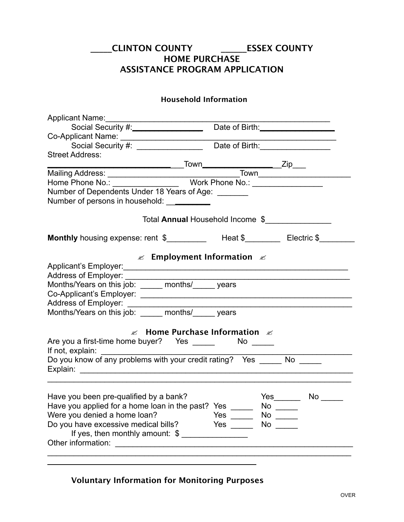## **\_\_\_\_\_CLINTON COUNTY \_\_\_\_\_\_ESSEX COUNTY HOME PURCHASE ASSISTANCE PROGRAM APPLICATION**

## **Household Information**

| Applicant Name:                                                                                   |                         |           |
|---------------------------------------------------------------------------------------------------|-------------------------|-----------|
|                                                                                                   |                         |           |
|                                                                                                   |                         |           |
|                                                                                                   |                         |           |
| <b>Street Address:</b>                                                                            |                         |           |
|                                                                                                   |                         |           |
|                                                                                                   |                         |           |
|                                                                                                   |                         |           |
| Number of Dependents Under 18 Years of Age: _______<br>Number of persons in household: __________ |                         |           |
| Total Annual Household Income \$                                                                  |                         |           |
| Monthly housing expense: rent \$____________ Heat \$_________ Electric \$______                   |                         |           |
| $\mathbb{Z}$ Employment Information $\mathbb{Z}$                                                  |                         |           |
|                                                                                                   |                         |           |
|                                                                                                   |                         |           |
| Months/Years on this job: _____ months/_____ years                                                |                         |           |
|                                                                                                   |                         |           |
|                                                                                                   |                         |           |
|                                                                                                   |                         |           |
| $\mathscr{A}$ Home Purchase Information $\mathscr{A}$                                             |                         |           |
|                                                                                                   |                         |           |
|                                                                                                   |                         |           |
|                                                                                                   |                         |           |
| Have you been pre-qualified by a bank?                                                            |                         |           |
| Have you applied for a home loan in the past? Yes _____                                           |                         | $No \_\_$ |
| Were you denied a home loan?                                                                      | Yes $\_\_$              |           |
| Do you have excessive medical bills?                                                              | Yes $\_\_\_\_\_\_\_\_\$ | $No \ \$  |
| If yes, then monthly amount: $\frac{1}{2}$                                                        |                         |           |
|                                                                                                   |                         |           |
|                                                                                                   |                         |           |

**Voluntary Information for Monitoring Purposes**

 $\overline{\phantom{a}}$ 

 $\overline{a}$